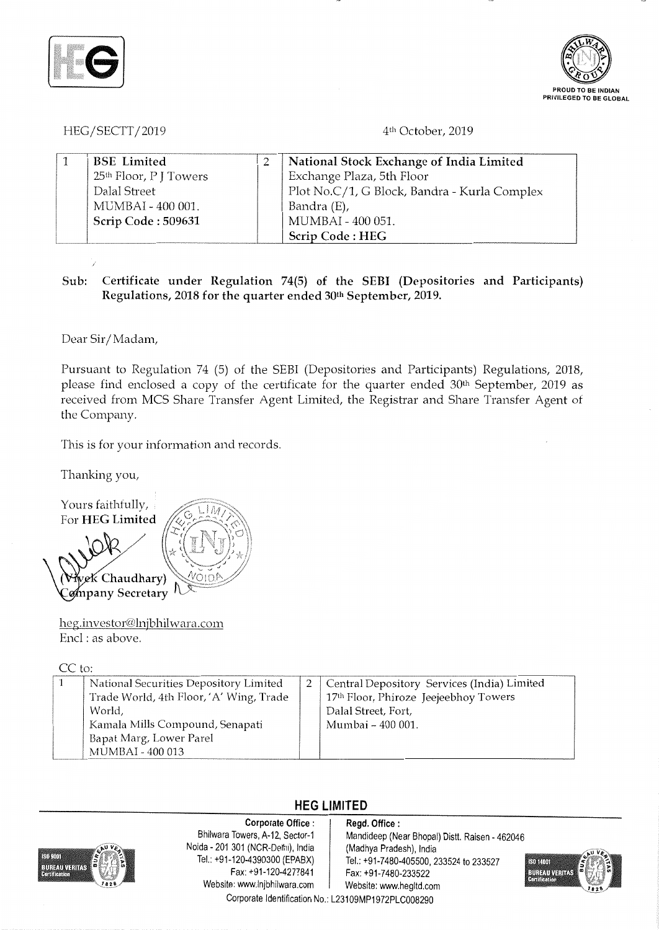



HEG/SECTT/2019

### 4th October, 2019

| <b>BSE</b> Limited                 | National Stock Exchange of India Limited     |
|------------------------------------|----------------------------------------------|
| 25 <sup>th</sup> Floor, P J Towers | Exchange Plaza, 5th Floor                    |
| Dalal Street                       | Plot No.C/1, G Block, Bandra - Kurla Complex |
| MUMBAI - 400 001.                  | Bandra (E),                                  |
| Scrip Code: 509631                 | MUMBAI - 400 051.                            |
|                                    | Scrip Code: HEG                              |

## **Sub: Certificate under Regulation 74(5) of the SEBI (Depositories and Participants) Regulations, 2018 for the quarter ended 30th September, 2019.**

Dear Sir/ Madam,

Pursuant to Regulation 74 (5) of the SEBI (Depositories and Participants) Regulations, 2018, please find enclosed a copy of the certificate for the quarter ended 30<sup>th</sup> September, 2019 as received from MCS Share Transfer Agent Limited, the Registrar and Share Transfer Agent of the Company.

This is for your information and records.

Thanking you,

Yours faithfully, For **HEG Limited**  eK Chaudhary) ompany Secretary

heg.investor@lnjbhilwara.com Encl : as above.

CC to:

| National Securities Depository Limited<br>Trade World, 4th Floor, 'A' Wing, Trade<br>World,<br>Kamala Mills Compound, Senapati<br>Bapat Marg, Lower Parel | 2   Central Depository Services (India) Limited<br>17th Floor, Phiroze Jeejeebhoy Towers<br>Dalal Street, Fort,<br>Mumbai - 400 001. |
|-----------------------------------------------------------------------------------------------------------------------------------------------------------|--------------------------------------------------------------------------------------------------------------------------------------|
| MUMBAI - 400 013                                                                                                                                          |                                                                                                                                      |

# **HEG LIMITED**

**Corporate Office :** Regd. Office :<br>Bhilwara Towers, A-12, Sector-1 Mandideep (Ne Noida • 201 301 (NCR-Delhi), India (Madhya Pradesh), India Fax: +91-120-4277841 Fax: +91-7480-233522 Website: www.lnjbhilwara.com | Website: www.hegltd.com

Mandideep (Near Bhopal) Distt. Raisen - 462046 Tel.: +91-7480-405500, 233524 to 233527



Corporate Identification No.: L23109MP1972PLC008290